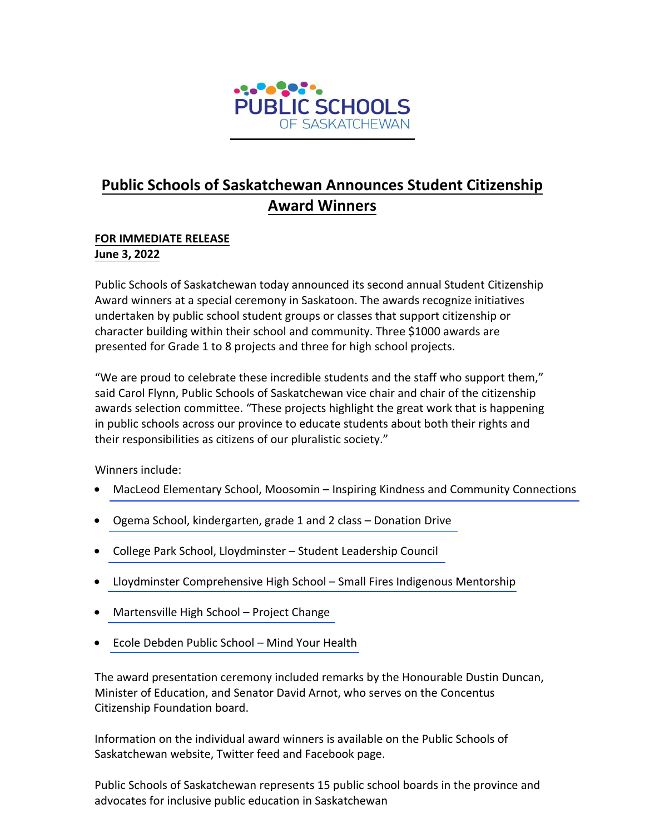

## **Public Schools of Saskatchewan Announces Student Citizenship Award Winners**

## **FOR IMMEDIATE RELEASE June 3, 2022**

Public Schools of Saskatchewan today announced its second annual Student Citizenship Award winners at a special ceremony in Saskatoon. The awards recognize initiatives undertaken by public school student groups or classes that support citizenship or character building within their school and community. Three \$1000 awards are presented for Grade 1 to 8 projects and three for high school projects.

"We are proud to celebrate these incredible students and the staff who support them," said Carol Flynn, Public Schools of Saskatchewan vice chair and chair of the citizenship awards selection committee. "These projects highlight the great work that is happening in public schools across our province to educate students about both their rights and their responsibilities as citizens of our pluralistic society."

Winners include:

- [MacLeod Elementary School, Moosomin](https://www.saskpublicschools.ca/wp-content/uploads/2022/06/MacLeod-Elem-Citizenship-Award-Essay.pdf)  Inspiring Kindness and Community Connections
- [Ogema School, kindergarten, grade 1 and 2 class](https://www.youtube.com/watch?v=NOHiJfrOCrw)  Donation Drive
- [College Park School, Lloydminster](https://www.youtube.com/watch?v=jq9iuGsUAtQ)  Student Leadership Council
- [Lloydminster Comprehensive High School](https://www.youtube.com/watch?v=qCeCfFazKu4)  Small Fires Indigenous Mentorship
- [Martensville High School](https://www.youtube.com/watch?v=BRm4cAy_T3c)  Project Change
- [Ecole Debden Public School](https://www.youtube.com/watch?v=Jjd6vh6s3c0)  Mind Your Health

The award presentation ceremony included remarks by the Honourable Dustin Duncan, Minister of Education, and Senator David Arnot, who serves on the Concentus Citizenship Foundation board.

Information on the individual award winners is available on the Public Schools of Saskatchewan website, Twitter feed and Facebook page.

Public Schools of Saskatchewan represents 15 public school boards in the province and advocates for inclusive public education in Saskatchewan